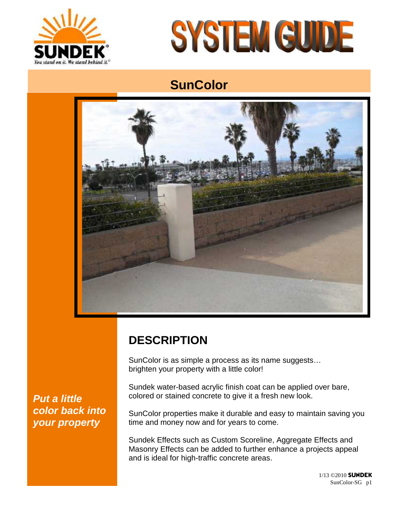



# **SunColor**



## **DESCRIPTION**

SunColor is as simple a process as its name suggests… brighten your property with a little color!

Sundek water-based acrylic finish coat can be applied over bare, colored or stained concrete to give it a fresh new look.

SunColor properties make it durable and easy to maintain saving you time and money now and for years to come.

Sundek Effects such as Custom Scoreline, Aggregate Effects and Masonry Effects can be added to further enhance a projects appeal and is ideal for high-traffic concrete areas.

*Put a little color back into your property*